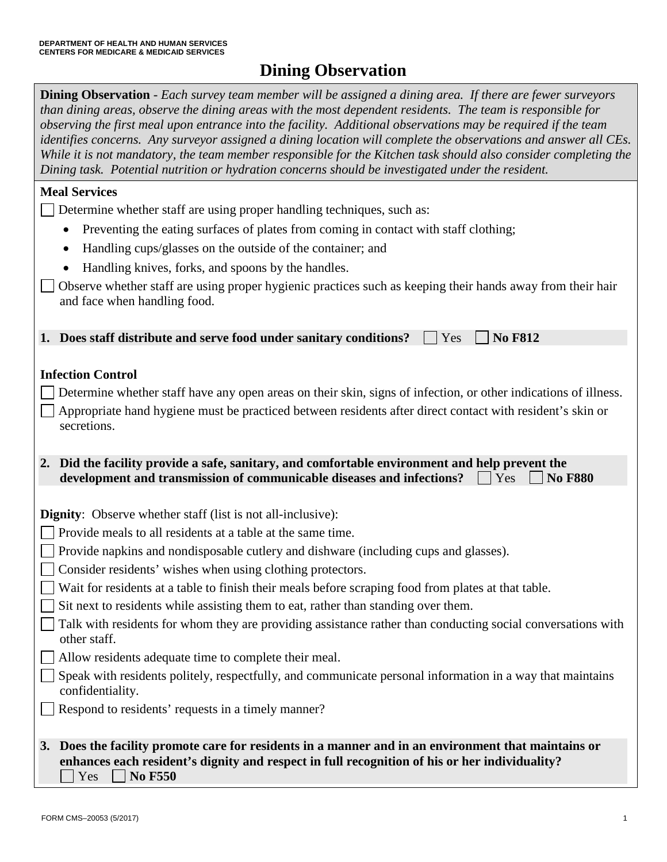# **Dining Observation**

 **Dining Observation** - *Each survey team member will be assigned a dining area. If there are fewer surveyors observing the first meal upon entrance into the facility. Additional observations may be required if the team identifies concerns. Any surveyor assigned a dining location will complete the observations and answer all CEs. Dining task. Potential nutrition or hydration concerns should be investigated under the resident. than dining areas, observe the dining areas with the most dependent residents. The team is responsible for*  While it is not mandatory, the team member responsible for the Kitchen task should also consider completing the

### **Meal Services**

Determine whether staff are using proper handling techniques, such as:

- Preventing the eating surfaces of plates from coming in contact with staff clothing;
- Handling cups/glasses on the outside of the container; and
- Handling knives, forks, and spoons by the handles.

 and face when handling food. Observe whether staff are using proper hygienic practices such as keeping their hands away from their hair

**1. Does staff distribute and serve food under sanitary conditions?**  $\Box$  **Yes**  $\Box$  **No F812** 

# **Infection Control**

- Determine whether staff have any open areas on their skin, signs of infection, or other indications of illness.
- Appropriate hand hygiene must be practiced between residents after direct contact with resident's skin or secretions.
- **development and transmission of communicable diseases and infections?**  $\Box$  **Yes**  $\Box$  **No F880 2. Did the facility provide a safe, sanitary, and comfortable environment and help prevent the**

**Dignity**: Observe whether staff (list is not all-inclusive):

- Provide meals to all residents at a table at the same time.
- Provide napkins and nondisposable cutlery and dishware (including cups and glasses).
- Consider residents' wishes when using clothing protectors.
- Wait for residents at a table to finish their meals before scraping food from plates at that table.
- Sit next to residents while assisting them to eat, rather than standing over them.
- Talk with residents for whom they are providing assistance rather than conducting social conversations with other staff.
- Allow residents adequate time to complete their meal.
- Speak with residents politely, respectfully, and communicate personal information in a way that maintains confidentiality.
- Respond to residents' requests in a timely manner?

## **3. Does the facility promote care for residents in a manner and in an environment that maintains or**   $Yes \Box No F550$ **enhances each resident's dignity and respect in full recognition of his or her individuality?**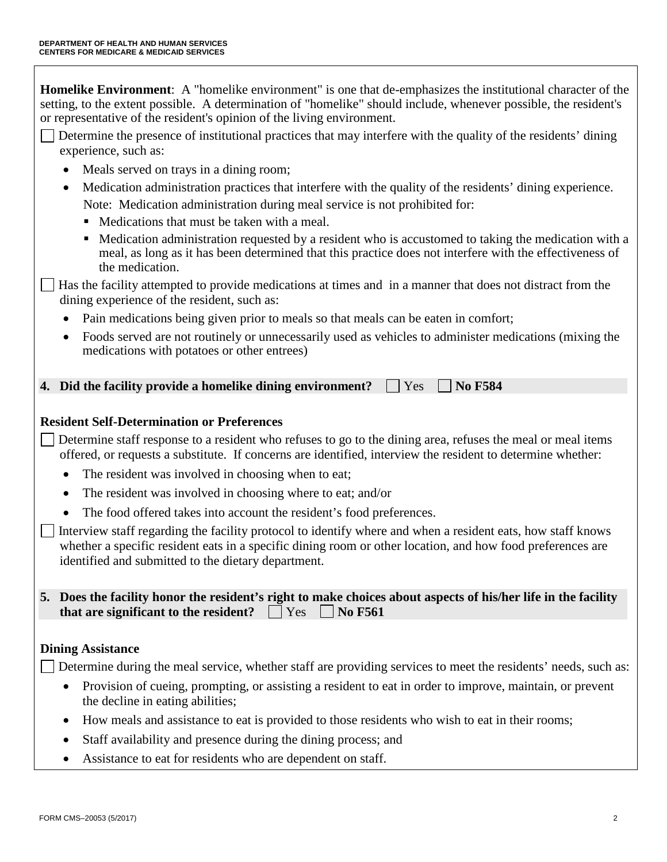setting, to the extent possible. A determination of "homelike" should include, whenever possible, the resident's **Homelike Environment**: A "homelike environment" is one that de-emphasizes the institutional character of the or representative of the resident's opinion of the living environment.

- Determine the presence of institutional practices that may interfere with the quality of the residents' dining experience, such as:
	- Meals served on trays in a dining room;
	- Medication administration practices that interfere with the quality of the residents' dining experience. Note: Medication administration during meal service is not prohibited for:
		- Medications that must be taken with a meal.
		- Medication administration requested by a resident who is accustomed to taking the medication with a meal, as long as it has been determined that this practice does not interfere with the effectiveness of the medication.

Has the facility attempted to provide medications at times and in a manner that does not distract from the dining experience of the resident, such as:

- Pain medications being given prior to meals so that meals can be eaten in comfort;
- medications with potatoes or other entrees) • Foods served are not routinely or unnecessarily used as vehicles to administer medications (mixing the

 $\vert$  **|** Yes **4.** Did the facility provide a homelike dining environment?  $\Box$  Yes  $\Box$  No F584

# **Resident Self-Determination or Preferences**

 Determine staff response to a resident who refuses to go to the dining area, refuses the meal or meal items offered, or requests a substitute. If concerns are identified, interview the resident to determine whether:

- The resident was involved in choosing when to eat;
- The resident was involved in choosing where to eat; and/or
- The food offered takes into account the resident's food preferences.

 Interview staff regarding the facility protocol to identify where and when a resident eats, how staff knows whether a specific resident eats in a specific dining room or other location, and how food preferences are identified and submitted to the dietary department.

 **5. Does the facility honor the resident's right to make choices about aspects of his/her life in the facility that are significant to the resident?**  $\Box$  Yes  $\Box$  No F561

### **Dining Assistance**

Determine during the meal service, whether staff are providing services to meet the residents' needs, such as:

- Provision of cueing, prompting, or assisting a resident to eat in order to improve, maintain, or prevent the decline in eating abilities;
- How meals and assistance to eat is provided to those residents who wish to eat in their rooms;
- Staff availability and presence during the dining process; and
- Assistance to eat for residents who are dependent on staff.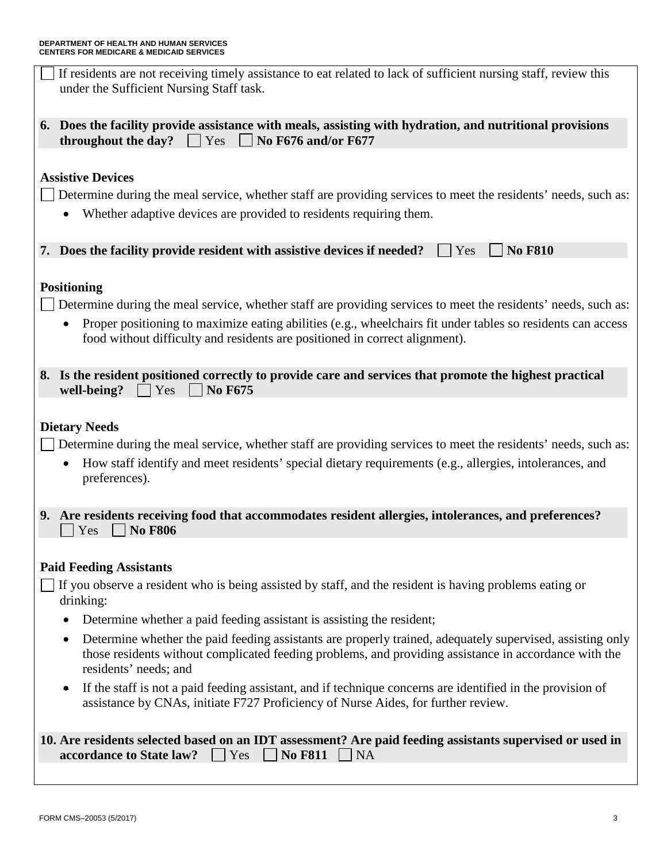| If residents are not receiving timely assistance to eat related to lack of sufficient nursing staff, review this<br>under the Sufficient Nursing Staff task.                                                                                                       |
|--------------------------------------------------------------------------------------------------------------------------------------------------------------------------------------------------------------------------------------------------------------------|
| 6. Does the facility provide assistance with meals, assisting with hydration, and nutritional provisions<br>No F676 and/or F677<br>throughout the day?<br>$ $ Yes                                                                                                  |
| <b>Assistive Devices</b>                                                                                                                                                                                                                                           |
| Determine during the meal service, whether staff are providing services to meet the residents' needs, such as:                                                                                                                                                     |
| Whether adaptive devices are provided to residents requiring them.                                                                                                                                                                                                 |
| 7. Does the facility provide resident with assistive devices if needed?<br><b>No F810</b><br>Yes                                                                                                                                                                   |
| <b>Positioning</b>                                                                                                                                                                                                                                                 |
| Determine during the meal service, whether staff are providing services to meet the residents' needs, such as:                                                                                                                                                     |
| Proper positioning to maximize eating abilities (e.g., wheelchairs fit under tables so residents can access                                                                                                                                                        |
| food without difficulty and residents are positioned in correct alignment).                                                                                                                                                                                        |
| 8. Is the resident positioned correctly to provide care and services that promote the highest practical<br>Yes<br><b>No F675</b><br>well-being?                                                                                                                    |
| <b>Dietary Needs</b><br>Determine during the meal service, whether staff are providing services to meet the residents' needs, such as:<br>How staff identify and meet residents' special dietary requirements (e.g., allergies, intolerances, and<br>preferences). |
| 9. Are residents receiving food that accommodates resident allergies, intolerances, and preferences?<br><b>No F806</b><br>Yes                                                                                                                                      |
| <b>Paid Feeding Assistants</b>                                                                                                                                                                                                                                     |
| If you observe a resident who is being assisted by staff, and the resident is having problems eating or                                                                                                                                                            |
| drinking:                                                                                                                                                                                                                                                          |
| Determine whether a paid feeding assistant is assisting the resident;                                                                                                                                                                                              |
| Determine whether the paid feeding assistants are properly trained, adequately supervised, assisting only<br>those residents without complicated feeding problems, and providing assistance in accordance with the<br>residents' needs; and                        |
| If the staff is not a paid feeding assistant, and if technique concerns are identified in the provision of<br>$\bullet$<br>assistance by CNAs, initiate F727 Proficiency of Nurse Aides, for further review.                                                       |
| 10. Are residents selected based on an IDT assessment? Are paid feeding assistants supervised or used in<br>accordance to State law?<br><b>No F811</b><br>Yes<br><b>NA</b>                                                                                         |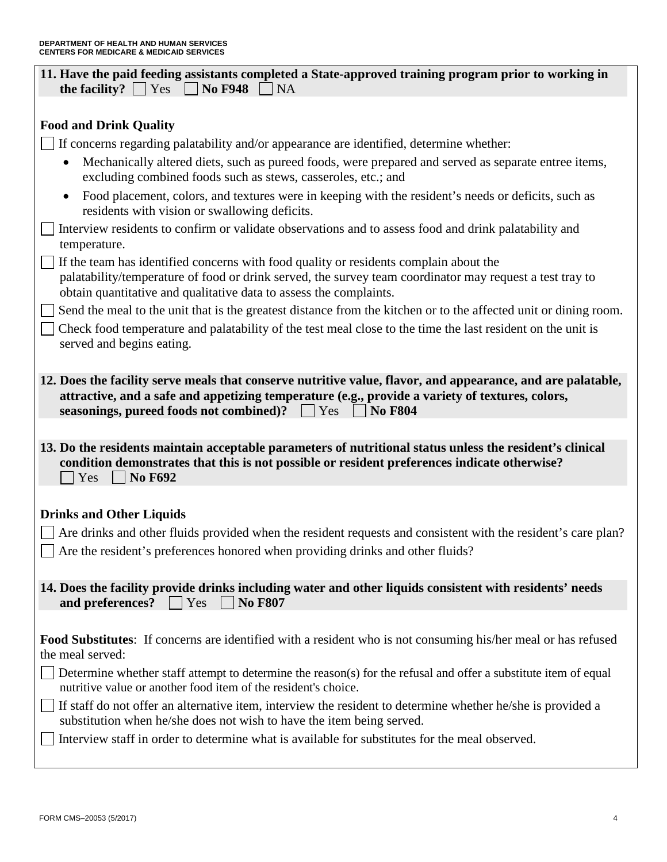| 11. Have the paid feeding assistants completed a State-approved training program prior to working in<br>$\neg$ NA<br>the facility? $\vert$<br><b>No F948</b><br>Yes                                                                                                                                                           |  |  |
|-------------------------------------------------------------------------------------------------------------------------------------------------------------------------------------------------------------------------------------------------------------------------------------------------------------------------------|--|--|
|                                                                                                                                                                                                                                                                                                                               |  |  |
| <b>Food and Drink Quality</b>                                                                                                                                                                                                                                                                                                 |  |  |
| If concerns regarding palatability and/or appearance are identified, determine whether:                                                                                                                                                                                                                                       |  |  |
| Mechanically altered diets, such as pureed foods, were prepared and served as separate entree items,<br>excluding combined foods such as stews, casseroles, etc.; and                                                                                                                                                         |  |  |
| Food placement, colors, and textures were in keeping with the resident's needs or deficits, such as<br>$\bullet$<br>residents with vision or swallowing deficits.                                                                                                                                                             |  |  |
| Interview residents to confirm or validate observations and to assess food and drink palatability and<br>temperature.                                                                                                                                                                                                         |  |  |
| If the team has identified concerns with food quality or residents complain about the<br>palatability/temperature of food or drink served, the survey team coordinator may request a test tray to<br>obtain quantitative and qualitative data to assess the complaints.                                                       |  |  |
| Send the meal to the unit that is the greatest distance from the kitchen or to the affected unit or dining room.<br>Check food temperature and palatability of the test meal close to the time the last resident on the unit is<br>served and begins eating.                                                                  |  |  |
| 12. Does the facility serve meals that conserve nutritive value, flavor, and appearance, and are palatable,<br>attractive, and a safe and appetizing temperature (e.g., provide a variety of textures, colors,<br>seasonings, pureed foods not combined)? Tes<br>$\log$ No F804                                               |  |  |
|                                                                                                                                                                                                                                                                                                                               |  |  |
| 13. Do the residents maintain acceptable parameters of nutritional status unless the resident's clinical<br>condition demonstrates that this is not possible or resident preferences indicate otherwise?<br><b>No F692</b><br>Yes<br>$\mathbf{I}$                                                                             |  |  |
| <b>Drinks and Other Liquids</b>                                                                                                                                                                                                                                                                                               |  |  |
| Are drinks and other fluids provided when the resident requests and consistent with the resident's care plan?<br>Are the resident's preferences honored when providing drinks and other fluids?                                                                                                                               |  |  |
| 14. Does the facility provide drinks including water and other liquids consistent with residents' needs<br>and preferences?<br><b>No F807</b><br>Yes                                                                                                                                                                          |  |  |
| <b>Food Substitutes:</b> If concerns are identified with a resident who is not consuming his/her meal or has refused<br>the meal served:<br>Determine whether staff attempt to determine the reason(s) for the refusal and offer a substitute item of equal<br>nutritive value or another food item of the resident's choice. |  |  |
| If staff do not offer an alternative item, interview the resident to determine whether he/she is provided a<br>substitution when he/she does not wish to have the item being served.<br>Interview staff in order to determine what is available for substitutes for the meal observed.                                        |  |  |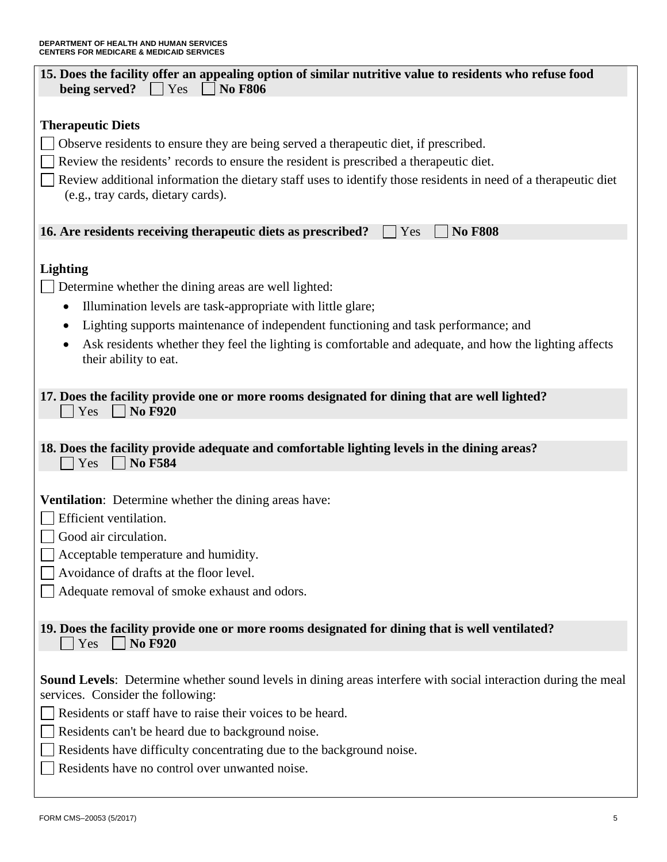| 15. Does the facility offer an appealing option of similar nutritive value to residents who refuse food<br>being served?<br>$\blacksquare$ Yes<br><b>No F806</b> |
|------------------------------------------------------------------------------------------------------------------------------------------------------------------|
| <b>Therapeutic Diets</b>                                                                                                                                         |
| Observe residents to ensure they are being served a therapeutic diet, if prescribed.                                                                             |
| Review the residents' records to ensure the resident is prescribed a therapeutic diet.                                                                           |
| Review additional information the dietary staff uses to identify those residents in need of a therapeutic diet<br>(e.g., tray cards, dietary cards).             |
| <b>No F808</b><br>16. Are residents receiving therapeutic diets as prescribed?<br>Yes                                                                            |
| <b>Lighting</b>                                                                                                                                                  |
| Determine whether the dining areas are well lighted:                                                                                                             |
| Illumination levels are task-appropriate with little glare;                                                                                                      |
| Lighting supports maintenance of independent functioning and task performance; and<br>$\bullet$                                                                  |
| Ask residents whether they feel the lighting is comfortable and adequate, and how the lighting affects<br>their ability to eat.                                  |
| 17. Does the facility provide one or more rooms designated for dining that are well lighted?<br><b>No F920</b><br>Yes                                            |
| 18. Does the facility provide adequate and comfortable lighting levels in the dining areas?<br><b>No F584</b><br>Yes                                             |
| <b>Ventilation:</b> Determine whether the dining areas have:                                                                                                     |
| Efficient ventilation.                                                                                                                                           |
| Good air circulation.                                                                                                                                            |
| Acceptable temperature and humidity.                                                                                                                             |
| Avoidance of drafts at the floor level.                                                                                                                          |
| Adequate removal of smoke exhaust and odors.                                                                                                                     |
| 19. Does the facility provide one or more rooms designated for dining that is well ventilated?<br><b>No F920</b><br>Yes                                          |
| <b>Sound Levels:</b> Determine whether sound levels in dining areas interfere with social interaction during the meal<br>services. Consider the following:       |
| Residents or staff have to raise their voices to be heard.                                                                                                       |
| Residents can't be heard due to background noise.                                                                                                                |
| Residents have difficulty concentrating due to the background noise.                                                                                             |
| Residents have no control over unwanted noise.                                                                                                                   |

 $\mathbf l$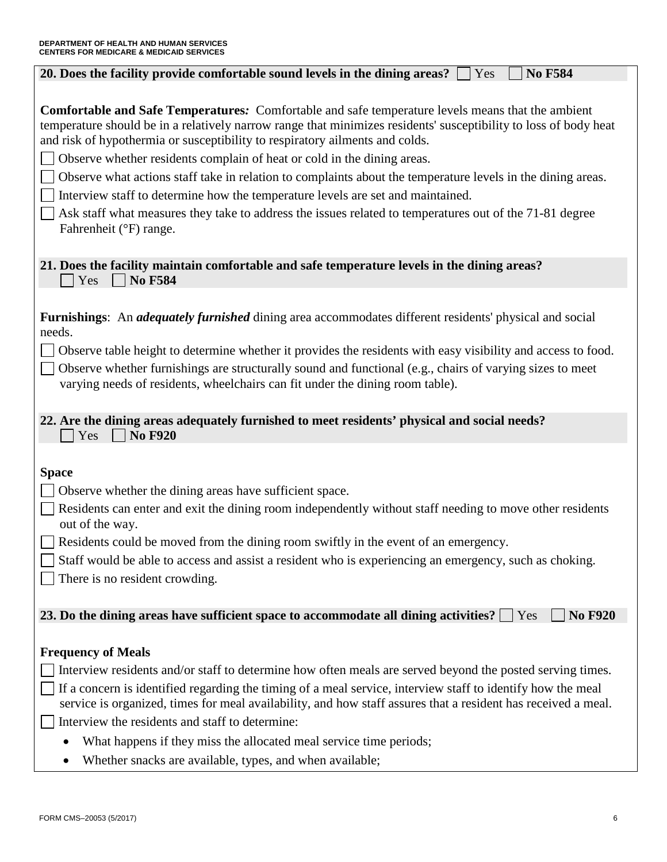| <b>No F584</b><br>20. Does the facility provide comfortable sound levels in the dining areas? $\Box$<br>Yes                                                                                                                                                                                                  |
|--------------------------------------------------------------------------------------------------------------------------------------------------------------------------------------------------------------------------------------------------------------------------------------------------------------|
|                                                                                                                                                                                                                                                                                                              |
| <b>Comfortable and Safe Temperatures:</b> Comfortable and safe temperature levels means that the ambient<br>temperature should be in a relatively narrow range that minimizes residents' susceptibility to loss of body heat<br>and risk of hypothermia or susceptibility to respiratory ailments and colds. |
| Observe whether residents complain of heat or cold in the dining areas.                                                                                                                                                                                                                                      |
| Observe what actions staff take in relation to complaints about the temperature levels in the dining areas.                                                                                                                                                                                                  |
| Interview staff to determine how the temperature levels are set and maintained.                                                                                                                                                                                                                              |
| Ask staff what measures they take to address the issues related to temperatures out of the 71-81 degree<br>Fahrenheit (°F) range.                                                                                                                                                                            |
| 21. Does the facility maintain comfortable and safe temperature levels in the dining areas?<br><b>No F584</b><br>Yes                                                                                                                                                                                         |
|                                                                                                                                                                                                                                                                                                              |
| <b>Furnishings:</b> An <i>adequately furnished</i> dining area accommodates different residents' physical and social<br>needs.                                                                                                                                                                               |
| Observe table height to determine whether it provides the residents with easy visibility and access to food.                                                                                                                                                                                                 |
| Observe whether furnishings are structurally sound and functional (e.g., chairs of varying sizes to meet<br>varying needs of residents, wheelchairs can fit under the dining room table).                                                                                                                    |
| 22. Are the dining areas adequately furnished to meet residents' physical and social needs?<br>Yes<br><b>No F920</b>                                                                                                                                                                                         |
|                                                                                                                                                                                                                                                                                                              |
| <b>Space</b><br>Observe whether the dining areas have sufficient space.                                                                                                                                                                                                                                      |
| Residents can enter and exit the dining room independently without staff needing to move other residents                                                                                                                                                                                                     |
| out of the way.                                                                                                                                                                                                                                                                                              |
| Residents could be moved from the dining room swiftly in the event of an emergency.                                                                                                                                                                                                                          |
| Staff would be able to access and assist a resident who is experiencing an emergency, such as choking.                                                                                                                                                                                                       |
| There is no resident crowding.                                                                                                                                                                                                                                                                               |
| <b>No F920</b><br>23. Do the dining areas have sufficient space to accommodate all dining activities?<br>Yes                                                                                                                                                                                                 |
|                                                                                                                                                                                                                                                                                                              |
| <b>Frequency of Meals</b>                                                                                                                                                                                                                                                                                    |
| Interview residents and/or staff to determine how often meals are served beyond the posted serving times.                                                                                                                                                                                                    |
| If a concern is identified regarding the timing of a meal service, interview staff to identify how the meal<br>service is organized, times for meal availability, and how staff assures that a resident has received a meal.                                                                                 |
| Interview the residents and staff to determine:                                                                                                                                                                                                                                                              |
| What happens if they miss the allocated meal service time periods;                                                                                                                                                                                                                                           |
| Whether snacks are available, types, and when available;                                                                                                                                                                                                                                                     |